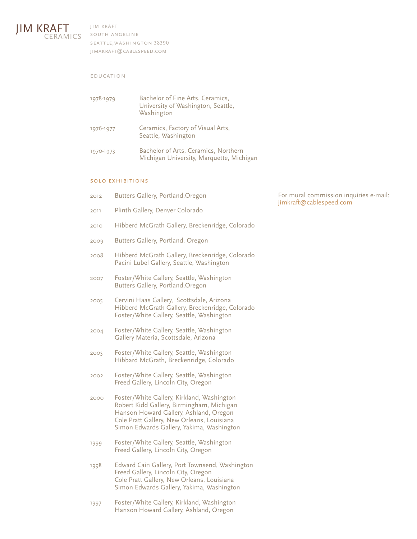

jim kraft south angeline seattle,washington 38390 jimakraft@cablespeed.com

## education

| 1978-1979 | Bachelor of Fine Arts, Ceramics,<br>University of Washington, Seattle,<br>Washington |
|-----------|--------------------------------------------------------------------------------------|
| 1976-1977 | Ceramics, Factory of Visual Arts,<br>Seattle, Washington                             |
| 1970-1973 | Bachelor of Arts, Ceramics, Northern<br>Michigan University, Marquette, Michigan     |

# solo exhibitions

| 2012 | Butters Gallery, Portland, Oregon                                                                                                                                                                                            |
|------|------------------------------------------------------------------------------------------------------------------------------------------------------------------------------------------------------------------------------|
| 2011 | Plinth Gallery, Denver Colorado                                                                                                                                                                                              |
| 2010 | Hibberd McGrath Gallery, Breckenridge, Colorado                                                                                                                                                                              |
| 2009 | Butters Gallery, Portland, Oregon                                                                                                                                                                                            |
| 2008 | Hibberd McGrath Gallery, Breckenridge, Colorado<br>Pacini Lubel Gallery, Seattle, Washington                                                                                                                                 |
| 2007 | Foster/White Gallery, Seattle, Washington<br>Butters Gallery, Portland, Oregon                                                                                                                                               |
| 2005 | Cervini Haas Gallery, Scottsdale, Arizona<br>Hibberd McGrath Gallery, Breckenridge, Colorado<br>Foster/White Gallery, Seattle, Washington                                                                                    |
| 2004 | Foster/White Gallery, Seattle, Washington<br>Gallery Materia, Scottsdale, Arizona                                                                                                                                            |
| 2003 | Foster/White Gallery, Seattle, Washington<br>Hibbard McGrath, Breckenridge, Colorado                                                                                                                                         |
| 2002 | Foster/White Gallery, Seattle, Washington<br>Freed Gallery, Lincoln City, Oregon                                                                                                                                             |
| 2000 | Foster/White Gallery, Kirkland, Washington<br>Robert Kidd Gallery, Birmingham, Michigan<br>Hanson Howard Gallery, Ashland, Oregon<br>Cole Pratt Gallery, New Orleans, Louisiana<br>Simon Edwards Gallery, Yakima, Washington |
| 1999 | Foster/White Gallery, Seattle, Washington<br>Freed Gallery, Lincoln City, Oregon                                                                                                                                             |
| 1998 | Edward Cain Gallery, Port Townsend, Washington<br>Freed Gallery, Lincoln City, Oregon<br>Cole Pratt Gallery, New Orleans, Louisiana<br>Simon Edwards Gallery, Yakima, Washington                                             |
|      |                                                                                                                                                                                                                              |

For mural commission inquiries e-mail: jimkraft@cablespeed.com

1997 Foster/White Gallery, Kirkland, Washington Hanson Howard Gallery, Ashland, Oregon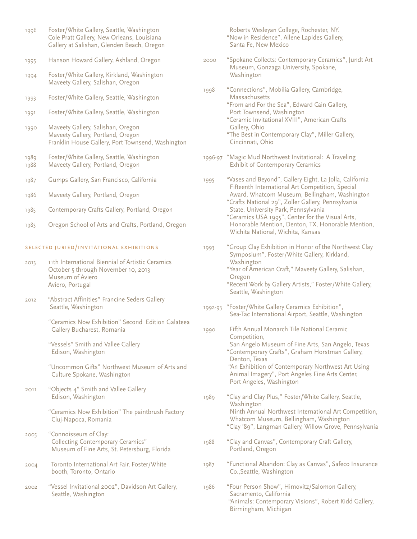| 1996                                     | Foster/White Gallery, Seattle, Washington<br>Cole Pratt Gallery, New Orleans, Louisiana<br>Gallery at Salishan, Glenden Beach, Oregon |         | Roberts Wesleyan College, Rochester, NY.<br>"Now in Residence", Allene Lapides Gallery,<br>Santa Fe, New Mexico                                                          |
|------------------------------------------|---------------------------------------------------------------------------------------------------------------------------------------|---------|--------------------------------------------------------------------------------------------------------------------------------------------------------------------------|
| 1995                                     | Hanson Howard Gallery, Ashland, Oregon                                                                                                | 2000    | "Spokane Collects: Contemporary Ceramics", Jundt Art<br>Museum, Gonzaga University, Spokane,                                                                             |
| 1994                                     | Foster/White Gallery, Kirkland, Washington<br>Maveety Gallery, Salishan, Oregon                                                       |         | Washington                                                                                                                                                               |
| 1993                                     | Foster/White Gallery, Seattle, Washington                                                                                             | 1998    | "Connections", Mobilia Gallery, Cambridge,<br>Massachusetts<br>"From and For the Sea", Edward Cain Gallery,                                                              |
| 1991                                     | Foster/White Gallery, Seattle, Washington                                                                                             |         | Port Townsend, Washington<br>"Ceramic Invitational XVIII", American Crafts                                                                                               |
| 1990                                     | Maveety Gallery, Salishan, Oregon<br>Maveety Gallery, Portland, Oregon<br>Franklin House Gallery, Port Townsend, Washington           |         | Gallery, Ohio<br>"The Best in Contemporary Clay", Miller Gallery,<br>Cincinnati, Ohio                                                                                    |
| 1989<br>1988                             | Foster/White Gallery, Seattle, Washington<br>Maveety Gallery, Portland, Oregon                                                        |         | 1996-97 "Magic Mud Northwest Invitational: A Traveling<br><b>Exhibit of Contemporary Ceramics</b>                                                                        |
| 1987                                     | Gumps Gallery, San Francisco, California                                                                                              |         | "Vases and Beyond", Gallery Eight, La Jolla, California<br>Fifteenth International Art Competition, Special                                                              |
| 1986                                     | Maveety Gallery, Portland, Oregon                                                                                                     |         | Award, Whatcom Museum, Bellingham, Washington<br>"Crafts National 29", Zoller Gallery, Pennsylvania                                                                      |
| 1985                                     | Contemporary Crafts Gallery, Portland, Oregon                                                                                         |         | State, University Park, Pennsylvania<br>"Ceramics USA 1995", Center for the Visual Arts,                                                                                 |
| 1983                                     | Oregon School of Arts and Crafts, Portland, Oregon                                                                                    |         | Honorable Mention, Denton, TX, Honorable Mention,<br>Wichita National, Wichita, Kansas                                                                                   |
| SELECTED JURIED/INVITATIONAL EXHIBITIONS |                                                                                                                                       | 1993    | "Group Clay Exhibition in Honor of the Northwest Clay<br>Symposium", Foster/White Gallery, Kirkland,                                                                     |
| 2013                                     | 11th International Biennial of Artistic Ceramics<br>October 5 through November 10, 2013<br>Museum of Aviero<br>Aviero, Portugal       |         | Washington<br>"Year of American Craft," Maveety Gallery, Salishan,<br>Oregon<br>"Recent Work by Gallery Artists," Foster/White Gallery,                                  |
| 2012                                     | "Abstract Affinities" Francine Seders Gallery<br>Seattle, Washington                                                                  | 1992-93 | Seattle, Washington<br>"Foster/White Gallery Ceramics Exhibition",<br>Sea-Tac International Airport, Seattle, Washington                                                 |
|                                          | "Ceramics Now Exhibition" Second Edition Galateea<br>Gallery Bucharest, Romania                                                       | 1990    | Fifth Annual Monarch Tile National Ceramic<br>Competition,                                                                                                               |
|                                          | "Vessels" Smith and Vallee Gallery<br>Edison, Washington                                                                              |         | San Angelo Museum of Fine Arts, San Angelo, Texas<br>"Contemporary Crafts", Graham Horstman Gallery,<br>Denton, Texas                                                    |
|                                          | "Uncommon Gifts" Northwest Museum of Arts and<br>Culture Spokane, Washington                                                          |         | "An Exhibition of Contemporary Northwest Art Using<br>Animal Imagery", Port Angeles Fine Arts Center,<br>Port Angeles, Washington                                        |
| 2011                                     | "Objects 4" Smith and Vallee Gallery<br>Edison, Washington                                                                            | 1989    | "Clay and Clay Plus," Foster/White Gallery, Seattle,                                                                                                                     |
|                                          | "Ceramics Now Exhibition" The paintbrush Factory<br>Cluj-Napoca, Romania                                                              |         | Washington<br>Ninth Annual Northwest International Art Competition,<br>Whatcom Museum, Bellingham, Washington<br>"Clay '89", Langman Gallery, Willow Grove, Pennsylvania |
| 2005                                     | "Connoisseurs of Clay:<br><b>Collecting Contemporary Ceramics"</b><br>Museum of Fine Arts, St. Petersburg, Florida                    | 1988    | "Clay and Canvas", Contemporary Craft Gallery,<br>Portland, Oregon                                                                                                       |
| 2004                                     | Toronto International Art Fair, Foster/White<br>booth, Toronto, Ontario                                                               | 1987    | "Functional Abandon: Clay as Canvas", Safeco Insurance<br>Co., Seattle, Washington                                                                                       |
| 2002                                     | "Vessel Invitational 2002", Davidson Art Gallery,<br>Seattle, Washington                                                              | 1986    | "Four Person Show", Himovitz/Salomon Gallery,<br>Sacramento, California<br>"Animals: Contemporary Visions", Robert Kidd Gallery,<br>Birmingham, Michigan                 |